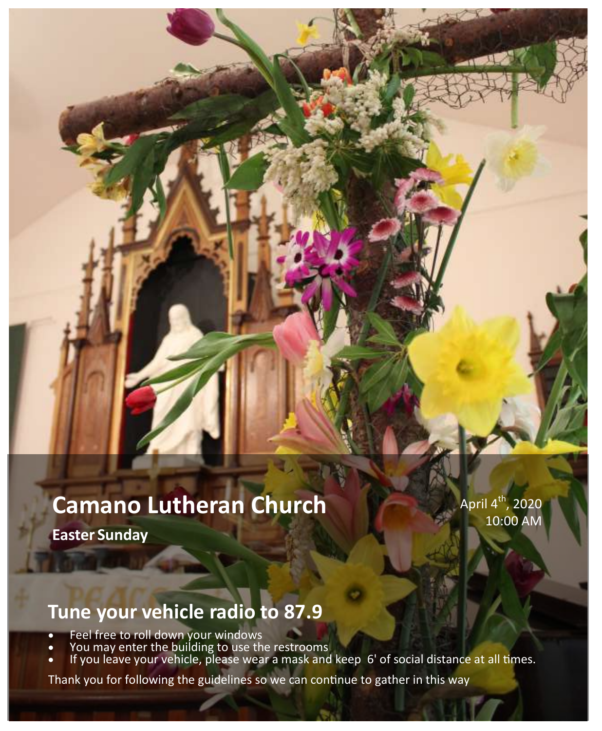# **Camano Lutheran Church**

**Easter Sunday** 

April 4 $^{\rm th}$ , 2020 10:00 AM

# **Tune your vehicle radio to 87.9**

- Feel free to roll down your windows
- You may enter the building to use the restrooms
- If you leave your vehicle, please wear a mask and keep 6' of social distance at all times.

Thank you for following the guidelines so we can continue to gather in this way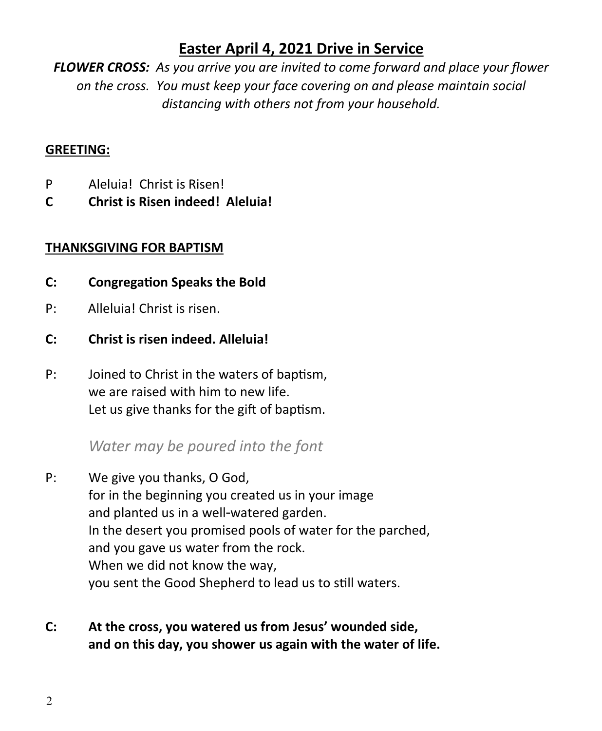# **Easter April 4, 2021 Drive in Service**

*FLOWER CROSS: As you arrive you are invited to come forward and place your flower on the cross. You must keep your face covering on and please maintain social distancing with others not from your household.*

#### **GREETING:**

- P Aleluia! Christ is Risen!
- **C Christ is Risen indeed! Aleluia!**

#### **THANKSGIVING FOR BAPTISM**

- **C: Congregation Speaks the Bold**
- P: Alleluia! Christ is risen.
- **C: Christ is risen indeed. Alleluia!**
- P: Joined to Christ in the waters of baptism, we are raised with him to new life. Let us give thanks for the gift of baptism.

# *Water may be poured into the font*

- P: We give you thanks, O God, for in the beginning you created us in your image and planted us in a well-watered garden. In the desert you promised pools of water for the parched, and you gave us water from the rock. When we did not know the way, you sent the Good Shepherd to lead us to still waters.
- **C: At the cross, you watered us from Jesus' wounded side, and on this day, you shower us again with the water of life.**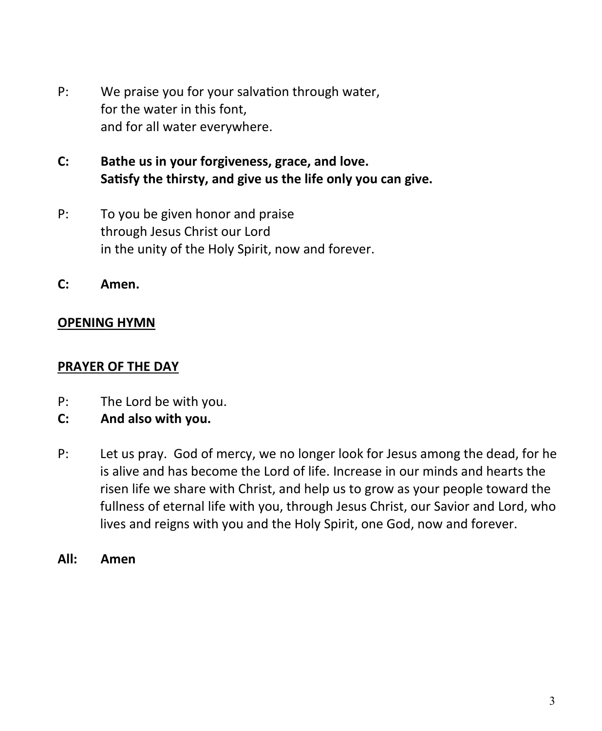- P: We praise you for your salvation through water, for the water in this font, and for all water everywhere.
- **C: Bathe us in your forgiveness, grace, and love. Satisfy the thirsty, and give us the life only you can give.**
- P: To you be given honor and praise through Jesus Christ our Lord in the unity of the Holy Spirit, now and forever.
- **C: Amen.**

#### **OPENING HYMN**

#### **PRAYER OF THE DAY**

- P: The Lord be with you.
- **C: And also with you.**
- P: Let us pray. God of mercy, we no longer look for Jesus among the dead, for he is alive and has become the Lord of life. Increase in our minds and hearts the risen life we share with Christ, and help us to grow as your people toward the fullness of eternal life with you, through Jesus Christ, our Savior and Lord, who lives and reigns with you and the Holy Spirit, one God, now and forever.
- **All: Amen**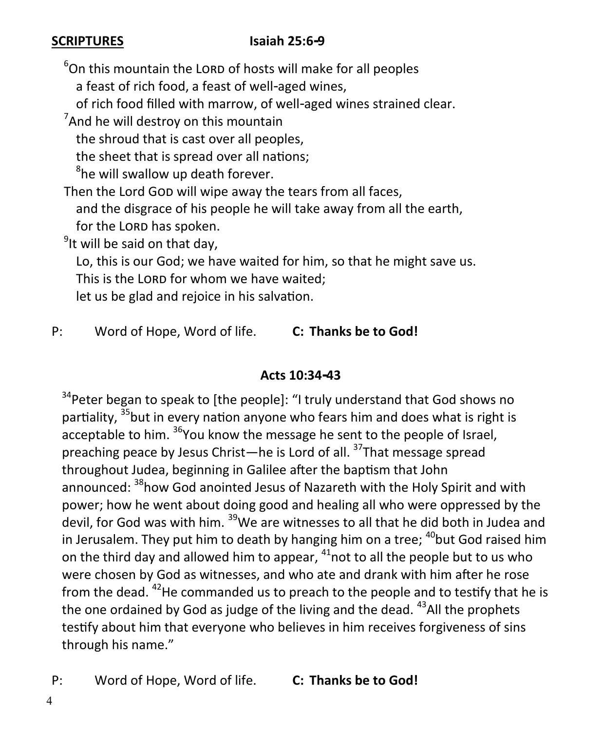### **SCRIPTURES** Isaiah 25:6-9

 $6$ On this mountain the LORD of hosts will make for all peoples a feast of rich food, a feast of well-aged wines,

of rich food filled with marrow, of well-aged wines strained clear.

 $7$ And he will destroy on this mountain

the shroud that is cast over all peoples,

the sheet that is spread over all nations;

<sup>8</sup>he will swallow up death forever.

Then the Lord GOD will wipe away the tears from all faces, and the disgrace of his people he will take away from all the earth, for the LORD has spoken.

<sup>9</sup>It will be said on that day,

 Lo, this is our God; we have waited for him, so that he might save us. This is the LORD for whom we have waited:

let us be glad and rejoice in his salvation.

P: Word of Hope, Word of life. **C: Thanks be to God!**

### **Acts 10:34-43**

 $34$ Peter began to speak to [the people]: "I truly understand that God shows no partiality. <sup>35</sup>but in every nation anyone who fears him and does what is right is acceptable to him. <sup>36</sup>You know the message he sent to the people of Israel, preaching peace by Jesus Christ—he is Lord of all. <sup>37</sup>That message spread throughout Judea, beginning in Galilee after the baptism that John announced: <sup>38</sup>how God anointed Jesus of Nazareth with the Holy Spirit and with power; how he went about doing good and healing all who were oppressed by the devil, for God was with him. <sup>39</sup>We are witnesses to all that he did both in Judea and in Jerusalem. They put him to death by hanging him on a tree;  $^{40}$ but God raised him on the third day and allowed him to appear,  $41$  not to all the people but to us who were chosen by God as witnesses, and who ate and drank with him after he rose from the dead.  $^{42}$ He commanded us to preach to the people and to testify that he is the one ordained by God as judge of the living and the dead.  $43$ All the prophets testify about him that everyone who believes in him receives forgiveness of sins through his name."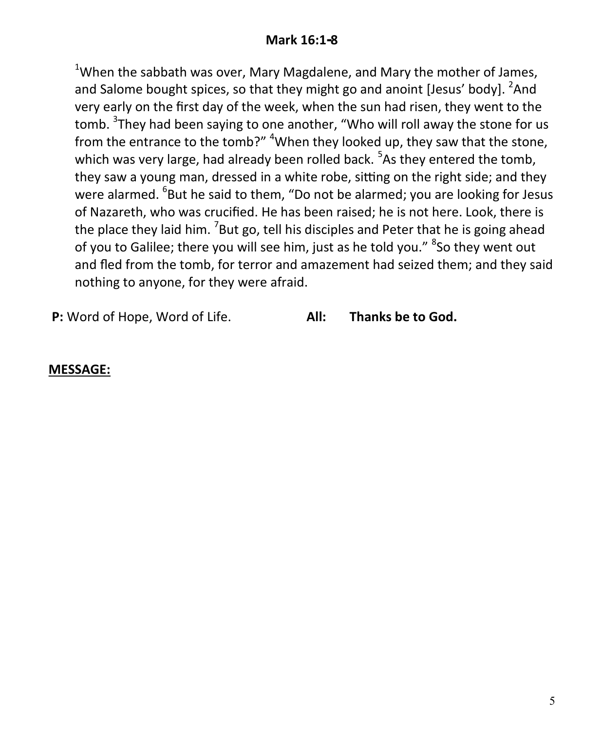#### **Mark 16:1-8**

<sup>1</sup>When the sabbath was over, Mary Magdalene, and Mary the mother of James, and Salome bought spices, so that they might go and anoint [Jesus' body]. <sup>2</sup>And very early on the first day of the week, when the sun had risen, they went to the tomb. <sup>3</sup>They had been saying to one another, "Who will roll away the stone for us from the entrance to the tomb?" <sup>4</sup>When they looked up, they saw that the stone, which was very large, had already been rolled back. <sup>5</sup>As they entered the tomb, they saw a young man, dressed in a white robe, sitting on the right side; and they were alarmed. <sup>6</sup>But he said to them, "Do not be alarmed; you are looking for Jesus of Nazareth, who was crucified. He has been raised; he is not here. Look, there is the place they laid him. <sup>7</sup>But go, tell his disciples and Peter that he is going ahead of you to Galilee; there you will see him, just as he told you." <sup>8</sup>So they went out and fled from the tomb, for terror and amazement had seized them; and they said nothing to anyone, for they were afraid.

**P:** Word of Hope, Word of Life. **All: Thanks be to God.**

#### **MESSAGE:**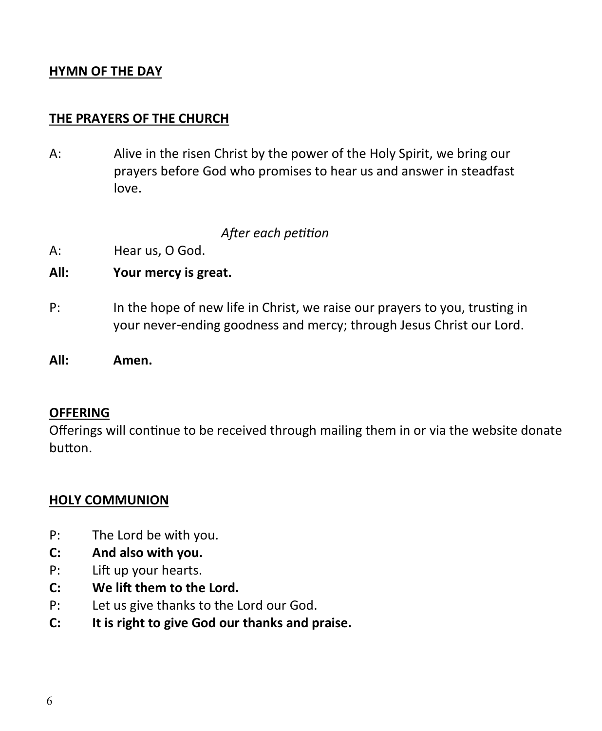#### **HYMN OF THE DAY**

#### **THE PRAYERS OF THE CHURCH**

A: Alive in the risen Christ by the power of the Holy Spirit, we bring our prayers before God who promises to hear us and answer in steadfast love.

#### *After each petition*

- A: Hear us, O God.
- **All: Your mercy is great.**
- P: In the hope of new life in Christ, we raise our prayers to you, trusting in your never-ending goodness and mercy; through Jesus Christ our Lord.

#### **OFFERING**

Offerings will continue to be received through mailing them in or via the website donate button.

#### **HOLY COMMUNION**

- P: The Lord be with you.
- **C: And also with you.**
- P: Lift up your hearts.
- **C: We lift them to the Lord.**
- P: Let us give thanks to the Lord our God.
- **C: It is right to give God our thanks and praise.**

**All: Amen.**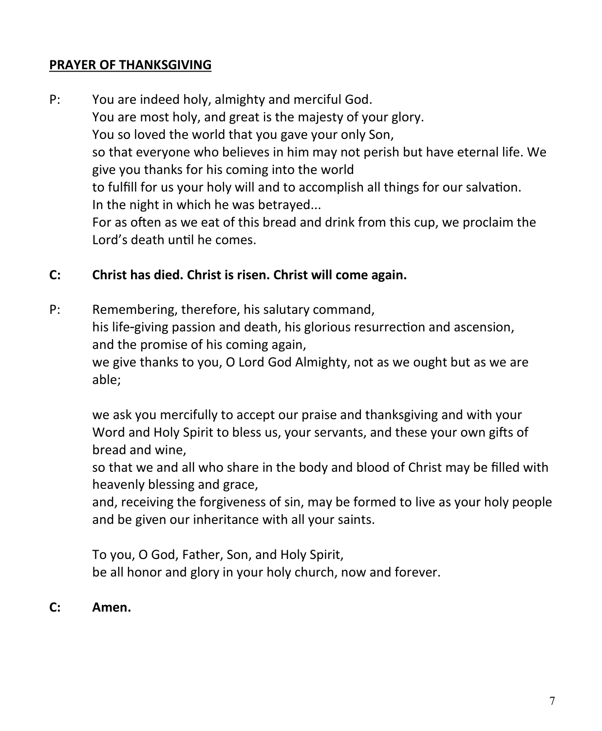#### **PRAYER OF THANKSGIVING**

P: You are indeed holy, almighty and merciful God. You are most holy, and great is the majesty of your glory. You so loved the world that you gave your only Son, so that everyone who believes in him may not perish but have eternal life. We give you thanks for his coming into the world to fulfill for us your holy will and to accomplish all things for our salvation. In the night in which he was betrayed... For as often as we eat of this bread and drink from this cup, we proclaim the Lord's death until he comes.

#### **C: Christ has died. Christ is risen. Christ will come again.**

P: Remembering, therefore, his salutary command, his life-giving passion and death, his glorious resurrection and ascension, and the promise of his coming again, we give thanks to you, O Lord God Almighty, not as we ought but as we are able;

we ask you mercifully to accept our praise and thanksgiving and with your Word and Holy Spirit to bless us, your servants, and these your own gifts of bread and wine,

so that we and all who share in the body and blood of Christ may be filled with heavenly blessing and grace,

and, receiving the forgiveness of sin, may be formed to live as your holy people and be given our inheritance with all your saints.

To you, O God, Father, Son, and Holy Spirit, be all honor and glory in your holy church, now and forever.

#### **C: Amen.**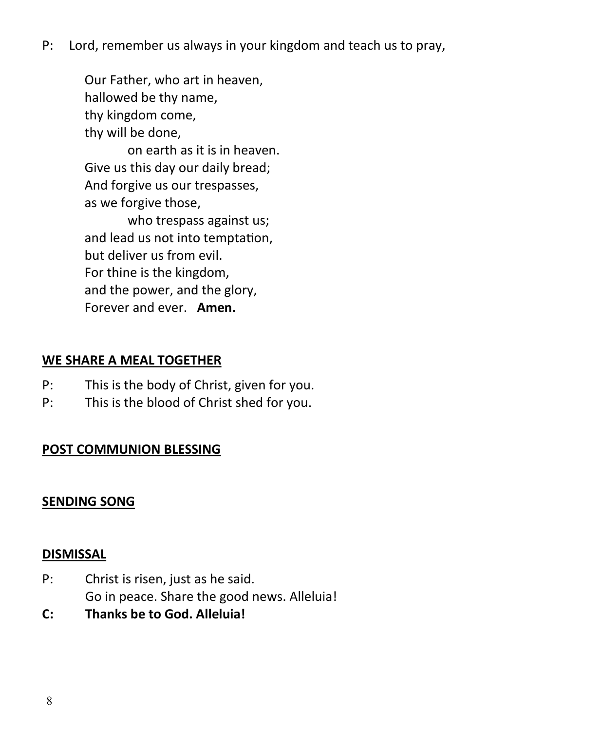P: Lord, remember us always in your kingdom and teach us to pray,

Our Father, who art in heaven, hallowed be thy name, thy kingdom come, thy will be done,

on earth as it is in heaven. Give us this day our daily bread; And forgive us our trespasses, as we forgive those,

who trespass against us; and lead us not into temptation, but deliver us from evil. For thine is the kingdom, and the power, and the glory, Forever and ever. **Amen.**

#### **WE SHARE A MEAL TOGETHER**

- P: This is the body of Christ, given for you.
- P: This is the blood of Christ shed for you.

### **POST COMMUNION BLESSING**

#### **SENDING SONG**

#### **DISMISSAL**

- P: Christ is risen, just as he said. Go in peace. Share the good news. Alleluia!
- **C: Thanks be to God. Alleluia!**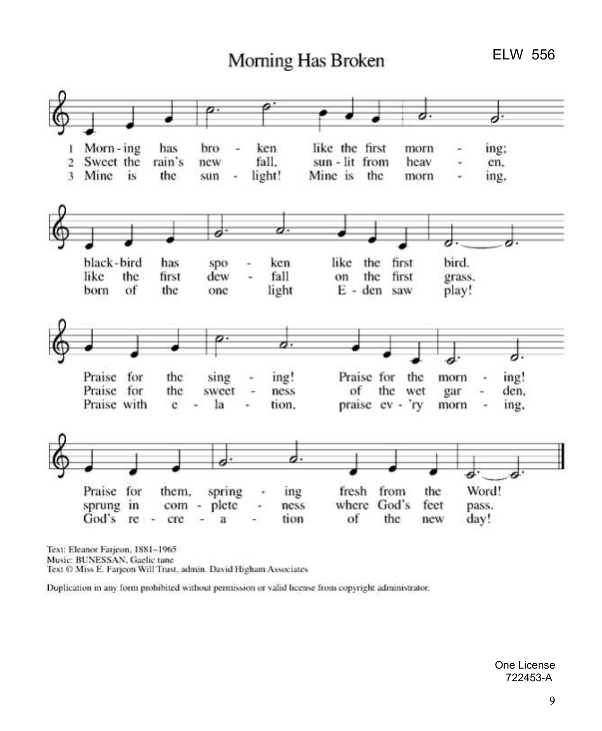# Morning Has Broken

**ELW 556** 



Text: Eleanor Farjeon, 1881-1965 Music: BUNESSAN, Gaelic tune Text © Miss E. Farjeon Will Trust, admin. David Higham Associates

Duplication in any form prohibited without permission or valid license from copyright administrator.

One License 722453-A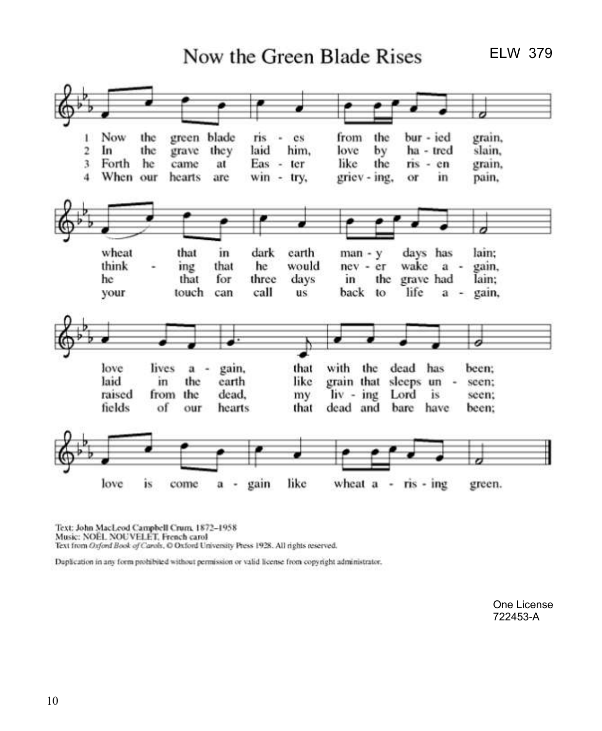Now the Green Blade Rises

**ELW 379** 



Text: John MacLeod Campbell Crum, 1872-1958 Music: NOEL NOUVELET, French carol Text from Oxford Book of Carols, O Oxford University Press 1928. All rights reserved.

Duplication in any form prohibited without permission or valid license from copyright administrator.

One License 722453-A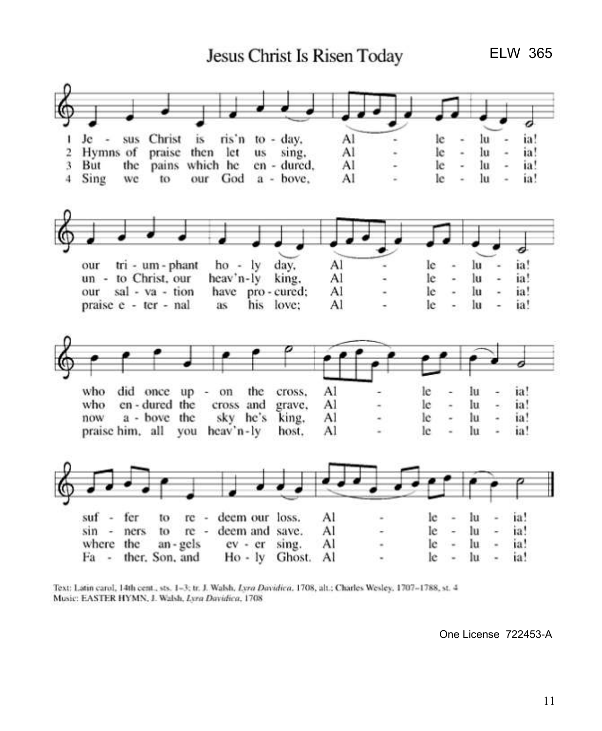Jesus Christ Is Risen Today

**ELW 365** 



Text: Latin carol, 14th cent., sts. 1-3; tr. J. Walsh. Lyra Davidica, 1708, alt.: Charles Wesley, 1707-1788, st. 4 Music: EASTER HYMN, J. Walsh, Lyra Davidica, 1708

One License 722453-A